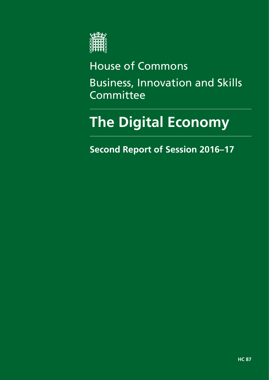

# House of Commons Business, Innovation and Skills Committee

# **The Digital Economy**

**Second Report of Session 2016–17**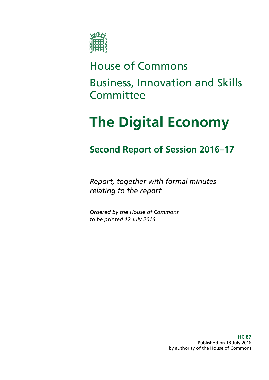

# House of Commons Business, Innovation and Skills **Committee**

# **The Digital Economy**

### **Second Report of Session 2016–17**

*Report, together with formal minutes relating to the report*

*Ordered by the House of Commons to be printed 12 July 2016*

> **HC 87** Published on 18 July 2016 by authority of the House of Commons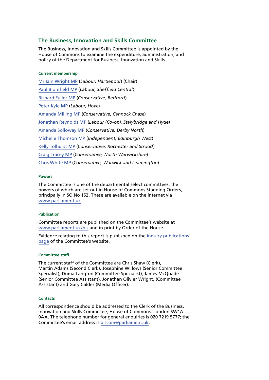#### **The Business, Innovation and Skills Committee**

The Business, Innovation and Skills Committee is appointed by the House of Commons to examine the expenditure, administration, and policy of the Department for Business, Innovation and Skills.

#### **Current membership**

[Mr Iain Wright](http://www.parliament.uk/biographies/commons/mr-iain-wright/1478) MP (*Labour, Hartlepool*) (Chair) [Paul Blomfield](http://www.parliament.uk/biographies/commons/paul-blomfield/4058) MP (*Labour, Sheffield Central*) [Richard Fuller](http://www.parliament.uk/biographies/commons/richard-fuller/3912) MP (*Conservative, Bedford*) [Peter Kyle MP](http://www.parliament.uk/biographies/commons/peter-kyle/4505) (*Labour, Hove*) [Amanda Milling](http://www.parliament.uk/biographies/commons/amanda-milling/4454) MP (*Conservative, Cannock Chase*) [Jonathan Reynolds MP](http://www.parliament.uk/biographies/commons/jonathan-reynolds/4119) (*Labour (Co-op), Stalybridge and Hyde*) [Amanda Solloway](http://www.parliament.uk/biographies/commons/amanda-solloway/4372) MP (*Conservative, Derby North*) [Michelle Thomson](http://www.parliament.uk/biographies/commons/michelle-thomson/4422) MP (*Independent, Edinburgh West*) [Kelly Tolhurst](http://www.parliament.uk/biographies/commons/kelly-tolhurst/4487) MP (*Conservative, Rochester and Strood*) [Craig Tracey](http://www.parliament.uk/biographies/commons/craig-tracey/4509) MP (*Conservative, North Warwickshire*) [Chris White](http://www.parliament.uk/biographies/commons/chris-white/4114) MP (*Conservative, Warwick and Leamington*)

#### **Powers**

The Committee is one of the departmental select committees, the powers of which are set out in House of Commons Standing Orders, principally in SO No 152. These are available on the internet via [www.parliament.uk](http://www.parliament.uk/).

#### **Publication**

Committee reports are published on the Committee's website at [www.parliament.uk/bis](http://www.parliament.uk/bis) and in print by Order of the House.

Evidence relating to this report is published on the [inquiry publications](http://www.parliament.uk/business/committees/committees-a-z/commons-select/business-innovation-and-skills/inquiries/parliament-2015/digital-economy/publications/)  [page](http://www.parliament.uk/business/committees/committees-a-z/commons-select/business-innovation-and-skills/inquiries/parliament-2015/digital-economy/publications/) of the Committee's website.

#### **Committee staff**

The current staff of the Committee are Chris Shaw (Clerk), Martin Adams (Second Clerk), Josephine Willows (Senior Committee Specialist), Duma Langton (Committee Specialist), James McQuade (Senior Committee Assistant), Jonathan Olivier Wright, (Committee Assistant) and Gary Calder (Media Officer).

#### **Contacts**

All correspondence should be addressed to the Clerk of the Business, Innovation and Skills Committee, House of Commons, London SW1A 0AA. The telephone number for general enquiries is 020 7219 5777; the Committee's email address is [biscom@parliament.uk](mailto:biscom@parliament.uk).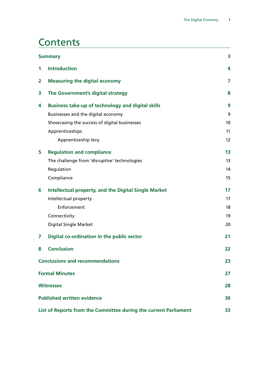### **Contents**

|   | <b>Summary</b>                                                   |                   |  |
|---|------------------------------------------------------------------|-------------------|--|
| 1 | <b>Introduction</b>                                              | 4                 |  |
| 2 | <b>Measuring the digital economy</b>                             | 7                 |  |
| 3 | The Government's digital strategy                                | 8                 |  |
| 4 | <b>Business take-up of technology and digital skills</b>         | 9                 |  |
|   | Businesses and the digital economy                               | 9                 |  |
|   | Showcasing the success of digital businesses                     | 10                |  |
|   | Apprenticeships                                                  | 11                |  |
|   | Apprenticeship levy                                              | $12 \overline{ }$ |  |
| 5 | <b>Regulation and compliance</b>                                 | 13                |  |
|   | The challenge from 'disruptive' technologies                     | 13                |  |
|   | Regulation                                                       | 14                |  |
|   | Compliance                                                       | 15                |  |
| 6 | <b>Intellectual property, and the Digital Single Market</b>      | 17                |  |
|   | Intellectual property                                            | 17                |  |
|   | Enforcement                                                      | 18                |  |
|   | Connectivity                                                     | 19                |  |
|   | <b>Digital Single Market</b>                                     | 20                |  |
| 7 | Digital co-ordination in the public sector                       | 21                |  |
| 8 | <b>Conclusion</b>                                                | 22                |  |
|   | <b>Conclusions and recommendations</b>                           | 23                |  |
|   | <b>Formal Minutes</b>                                            | 27                |  |
|   | <b>Witnesses</b>                                                 |                   |  |
|   | <b>Published written evidence</b>                                |                   |  |
|   | List of Reports from the Committee during the current Parliament | 33                |  |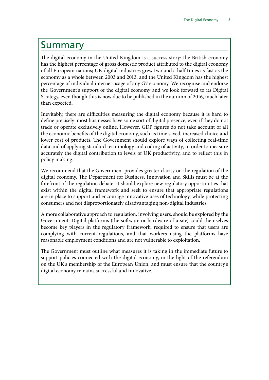### <span id="page-6-0"></span>Summary

The digital economy in the United Kingdom is a success story: the British economy has the highest percentage of gross domestic product attributed to the digital economy of all European nations; UK digital industries grew two and a half times as fast as the economy as a whole between 2003 and 2013; and the United Kingdom has the highest percentage of individual internet usage of any G7 economy. We recognise and endorse the Government's support of the digital economy and we look forward to its Digital Strategy, even though this is now due to be published in the autumn of 2016, much later than expected.

Inevitably, there are difficulties measuring the digital economy because it is hard to define precisely: most businesses have some sort of digital presence, even if they do not trade or operate exclusively online. However, GDP figures do not take account of all the economic benefits of the digital economy, such as time saved, increased choice and lower cost of products. The Government should explore ways of collecting real-time data and of applying standard terminology and coding of activity, in order to measure accurately the digital contribution to levels of UK productivity, and to reflect this in policy making.

We recommend that the Government provides greater clarity on the regulation of the digital economy. The Department for Business, Innovation and Skills must be at the forefront of the regulation debate. It should explore new regulatory opportunities that exist within the digital framework and seek to ensure that appropriate regulations are in place to support and encourage innovative uses of technology, while protecting consumers and not disproportionately disadvantaging non-digital industries.

A more collaborative approach to regulation, involving users, should be explored by the Government. Digital platforms (the software or hardware of a site) could themselves become key players in the regulatory framework, required to ensure that users are complying with current regulations, and that workers using the platforms have reasonable employment conditions and are not vulnerable to exploitation.

The Government must outline what measures it is taking in the immediate future to support policies connected with the digital economy, in the light of the referendum on the UK's membership of the European Union, and must ensure that the country's digital economy remains successful and innovative.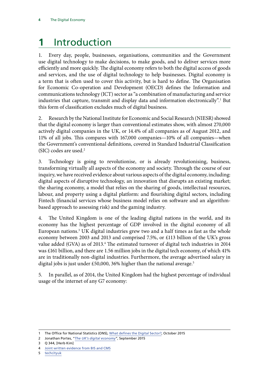## <span id="page-7-0"></span>**1** Introduction

1. Every day, people, businesses, organisations, communities and the Government use digital technology to make decisions, to make goods, and to deliver services more efficiently and more quickly. The digital economy refers to both the digital access of goods and services, and the use of digital technology to help businesses. Digital economy is a term that is often used to cover this activity, but is hard to define. The Organisation for Economic Co-operation and Development (OECD) defines the Information and communications technology (ICT) sector as "a combination of manufacturing and service industries that capture, transmit and display data and information electronically".<sup>1</sup> But this form of classification excludes much of digital business.

2. Research by the National Institute for Economic and Social Research (NIESR) showed that the digital economy is larger than conventional estimates show, with almost 270,000 actively digital companies in the UK, or 14.4% of all companies as of August 2012, and 11% of all jobs. This compares with 167,000 companies—10% of all companies—when the Government's conventional definitions, covered in Standard Industrial Classification (SIC) codes are used.2

3. Technology is going to revolutionise, or is already revolutionising, business, transforming virtually all aspects of the economy and society. Through the course of our inquiry, we have received evidence about various aspects of the digital economy, including: digital aspects of disruptive technology, an innovation that disrupts an existing market; the sharing economy, a model that relies on the sharing of goods, intellectual resources, labour, and property using a digital platform: and flourishing digital sectors, including Fintech (financial services whose business model relies on software and an algorithmbased approach to assessing risk) and the gaming industry.

4. The United Kingdom is one of the leading digital nations in the world, and its economy has the highest percentage of GDP involved in the digital economy of all European nations.3 UK digital industries grew two and a half times as fast as the whole economy between 2003 and 2013 and comprised 7.5%, or £113 billion of the UK's gross value added (GVA) as of 2013.<sup>4</sup> The estimated turnover of digital tech industries in 2014 was £161 billion, and there are 1.56 million jobs in the digital tech economy, of which 41% are in traditionally non-digital industries. Furthermore, the average advertised salary in digital jobs is just under £50,000, 36% higher than the national average.<sup>5</sup>

5. In parallel, as of 2014, the United Kingdom had the highest percentage of individual usage of the internet of any G7 economy:

<sup>1</sup> The Office for National Statistics (ONS), [What defines the Digital Sector?,](http://webarchive.nationalarchives.gov.uk/20160105160709/http:/www.ons.gov.uk/ons/dcp171776_419158.pdf) October 2015

<sup>2</sup> Jonathan Portes, "*[The UK's digital economy](http://www.niesr.ac.uk/sites/default/files/publications/The UK)*", September 2015

<sup>3</sup> Q 344, [Herb Kim]

<sup>4</sup> [Joint written evidence from BIS and CMS](http://data.parliament.uk/writtenevidence/committeeevidence.svc/evidencedocument/business-innovation-and-skills-committee/the-digital-economy/written/24569.html)

<sup>5</sup> [techcityuk](http://www.techcityuk.com/)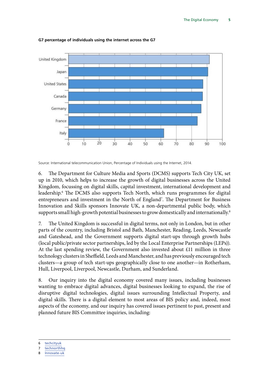

**G7 percentage of individuals using the internet across the G7**

Source: International telecommunication Union, Percentage of Individuals using the Internet, 2014.

6. The Department for Culture Media and Sports (DCMS) supports Tech City UK, set up in 2010, which helps to increase the growth of digital businesses across the United Kingdom, focussing on digital skills, capital investment, international development and leadership.6 The DCMS also supports Tech North, which runs programmes for digital entrepreneurs and investment in the North of England<sup>7</sup>. The Department for Business Innovation and Skills sponsors Innovate UK, a non-departmental public body, which supports small high-growth potential businesses to grow domestically and internationally.<sup>8</sup>

7. The United Kingdom is successful in digital terms, not only in London, but in other parts of the country, including Bristol and Bath, Manchester, Reading, Leeds, Newcastle and Gateshead, and the Government supports digital start-ups through growth hubs (local public/private sector partnerships, led by the Local Enterprise Partnerships (LEPs)). At the last spending review, the Government also invested about £11 million in three technology clusters in Sheffield, Leeds and Manchester, and has previously encouraged tech clusters—a group of tech start-ups geographically close to one another—in Rotherham, Hull, Liverpool, Liverpool, Newcastle, Durham, and Sunderland.

8. Our inquiry into the digital economy covered many issues, including businesses wanting to embrace digital advances, digital businesses looking to expand, the rise of disruptive digital technologies, digital issues surrounding Intellectual Property, and digital skills. There is a digital element to most areas of BIS policy and, indeed, most aspects of the economy, and our inquiry has covered issues pertinent to past, present and planned future BIS Committee inquiries, including:

8 [Innovate-uk](https://www.gov.uk/government/organisations/innovate-ukhttps:/www.gov.uk/government/organisations/innovate-uk)

<sup>6</sup> [techcityuk](http://www.techcityuk.com/)

<sup>7</sup> [technorthhq](http://technorthhq.com/)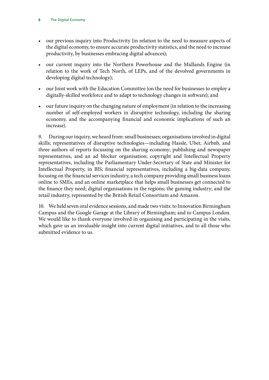- our previous inquiry into Productivity (in relation to the need to measure aspects of the digital economy, to ensure accurate productivity statistics, and the need to increase productivity, by businesses embracing digital advances);
- our current inquiry into the Northern Powerhouse and the Midlands Engine (in relation to the work of Tech North, of LEPs, and of the devolved governments in developing digital technology);
- our Joint work with the Education Committee (on the need for businesses to employ a digitally-skilled workforce and to adapt to technology changes in software); and
- our future inquiry on the changing nature of employment (in relation to the increasing number of self-employed workers in disruptive technology, including the sharing economy, and the accompanying financial and economic implications of such an increase).

9. During our inquiry, we heard from: small businesses; organisations involved in digital skills; representatives of disruptive technologies—including Hassle, Uber, Airbnb, and three authors of reports focussing on the sharing economy; publishing and newspaper representatives, and an ad blocker organisation; copyright and Intellectual Property representatives, including the Parliamentary Under-Secretary of State and Minister for Intellectual Property, in BIS; financial representatives, including a big-data company, focusing on the financial services industry, a tech company providing small business loans online to SMEs, and an online marketplace that helps small businesses get connected to the finance they need; digital organisations in the regions; the gaming industry; and the retail industry, represented by the British Retail Consortium and Amazon.

10. We held seven oral evidence sessions, and made two visits: to Innovation Birmingham Campus and the Google Garage at the Library of Birmingham; and to Campus London. We would like to thank everyone involved in organising and participating in the visits, which gave us an invaluable insight into current digital initiatives, and to all those who submitted evidence to us.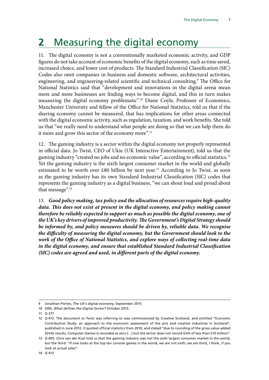### <span id="page-10-0"></span>**2** Measuring the digital economy

11. The digital economy is not a conventionally marketed economic activity, and GDP figures do not take account of economic benefits of the digital economy, such as time saved, increased choice, and lower cost of products. The Standard Industrial Classification (SIC) Codes also omit companies in business and domestic software, architectural activities, engineering, and engineering-related scientific and technical consulting.<sup>9</sup> The Office for National Statistics said that "development and innovations in the digital arena mean more and more businesses are finding ways to become digital, and this in turn makes measuring the digital economy problematic".10 Diane Coyle, Professor of Economics, Manchester University and fellow of the Office for National Statistics, told us that if the sharing economy cannot be measured, that has implications for other areas connected with the digital economic activity, such as regulation, taxation, and work benefits. She told us that "we really need to understand what people are doing so that we can help them do it more and grow this sector of the economy more".<sup>11</sup>

12. The gaming industry is a sector within the digital economy not properly represented in official data. Jo Twist, CEO of Ukie (UK Interactive Entertainment), told us that the gaming industry "created no jobs and no economic value", according to official statistics.<sup>12</sup> Yet the gaming industry is the sixth largest consumer market in the world and globally estimated to be worth over  $£80$  billion by next year.<sup>13</sup> According to Jo Twist, as soon as the gaming industry has its own Standard Industrial Classification (SIC) codes that represents the gaming industry as a digital business, "we can shout loud and proud about that message".<sup>14</sup>

13. *Good policy making, tax policy and the allocation of resources require high-quality*  data. This does not exist at present in the digital economy, and policy making cannot *therefore be reliably expected to support as much as possible the digital economy, one of the UK's key drivers of improved productivity. The Government's Digital Strategy should be informed by, and policy measures should be driven by, reliable data. We recognise the difficulty of measuring the digital economy, but the Government should look to the work of the Office of National Statistics, and explore ways of collecting real-time data in the digital economy, and ensure that established Standard Industrial Classification (SIC) codes are agreed and used, in different parts of the digital economy.*

<sup>9</sup> Jonathan Portes, *The UK's digital economy*, September 2015

<sup>10</sup> ONS, *What defines the Digital Sector?* October 2015.

<sup>11</sup> Q 377

<sup>12</sup> Q 413. The document Jo Twist was referring to was commissioned by Creative Scotland, and entitled "Economic Contribution Study: an approach to the economic assessment of the arts and creative industries in Scotland", published in June 2012. It quoted official statistics from 2010, and stated "due to rounding of the gross value added (GVA) results, Computer Games is recorded as zero […] but the sector does not record GVA of less than £10 million".

<sup>13</sup> Q 405. Chris van der Kuyl told us that the gaming industry was not the sixth largest consumer market in the world, but the third: "If one looks at the top ten console games in the world, we are not sixth; we are third, I think, if you look at actual sales".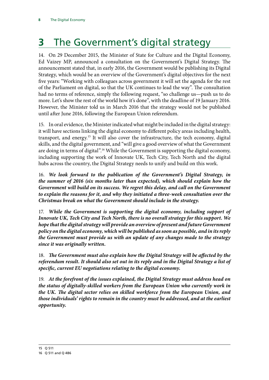# <span id="page-11-0"></span>**3** The Government's digital strategy

14. On 29 December 2015, the Minister of State for Culture and the Digital Economy, Ed Vaizey MP, announced a consultation on the Government's Digital Strategy. The announcement stated that, in early 2016, the Government would be publishing its Digital Strategy, which would be an overview of the Government's digital objectives for the next five years: "Working with colleagues across government it will set the agenda for the rest of the Parliament on digital, so that the UK continues to lead the way". The consultation had no terms of reference, simply the following request, "so challenge us—push us to do more. Let's show the rest of the world how it's done", with the deadline of 19 January 2016. However, the Minister told us in March 2016 that the strategy would not be published until after June 2016, following the European Union referendum.

15. In oral evidence, the Minister indicated what might be included in the digital strategy: it will have sections linking the digital economy to different policy areas including health, transport, and energy.15 It will also cover the infrastructure, the tech economy, digital skills, and the digital government, and "will give a good overview of what the Government are doing in terms of digital".16 While the Government is supporting the digital economy, including supporting the work of Innovate UK, Tech City, Tech North and the digital hubs across the country, the Digital Strategy needs to unify and build on this work.

16. *We look forward to the publication of the Government's Digital Strategy, in the summer of 2016 (six months later than expected), which should explain how the Government will build on its success. We regret this delay, and call on the Government to explain the reasons for it, and why they initiated a three-week consultation over the Christmas break on what the Government should include in the strategy.*

17. *While the Government is supporting the digital economy, including support of Innovate UK, Tech City and Tech North, there is no overall strategy for this support. We hope that the digital strategy will provide an overview of present and future Government policy on the digital economy, which will be published as soon as possible, and in its reply the Government must provide us with an update of any changes made to the strategy since it was originally written.*

18. The Government must also explain how the Digital Strategy will be affected by the *referendum result. It should also set out in its reply and in the Digital Strategy a list of specific, current EU negotiations relating to the digital economy.*

19. *At the forefront of the issues explained, the Digital Strategy must address head on the status of digitally-skilled workers from the European Union who currently work in the UK. The digital sector relies on skilled workforce from the European Union, and those individuals' rights to remain in the country must be addressed, and at the earliest opportunity.*

<sup>15</sup> Q 511

<sup>16</sup> Q 511 and Q 486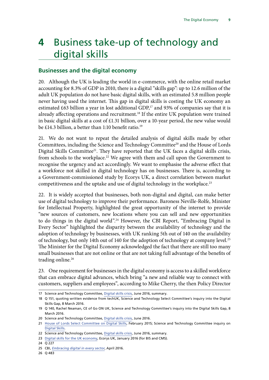### <span id="page-12-0"></span>**4** Business take-up of technology and digital skills

#### **Businesses and the digital economy**

20. Although the UK is leading the world in e-commerce, with the online retail market accounting for 8.3% of GDP in 2010, there is a digital "skills gap": up to 12.6 million of the adult UK population do not have basic digital skills, with an estimated 5.8 million people never having used the internet. This gap in digital skills is costing the UK economy an estimated  $\pounds 63$  billion a year in lost additional GDP,<sup>17</sup> and 93% of companies say that it is already affecting operations and recruitment.18 If the entire UK population were trained in basic digital skills at a cost of £1.31 billion, over a 10-year period, the new value would be £14.3 billion, a better than 1:10 benefit ratio.<sup>19</sup>

21. We do not want to repeat the detailed analysis of digital skills made by other Committees, including the Science and Technology Committee<sup>20</sup> and the House of Lords Digital Skills Committee<sup>21</sup>. They have reported that the UK faces a digital skills crisis, from schools to the workplace.<sup>22</sup> We agree with them and call upon the Government to recognise the urgency and act accordingly. We want to emphasise the adverse effect that a workforce not skilled in digital technology has on businesses. There is, according to a Government-commissioned study by Ecorys UK, a direct correlation between market competitiveness and the uptake and use of digital technology in the workplace.<sup>23</sup>

22. It is widely accepted that businesses, both non-digital and digital, can make better use of digital technology to improve their performance. Baroness Neville-Rolfe, Minister for Intellectual Property, highlighted the great opportunity of the internet to provide "new sources of customers, new locations where you can sell and new opportunities to do things in the digital world".<sup>24</sup> However, the CBI Report, "Embracing Digital in Every Sector" highlighted the disparity between the availability of technology and the adoption of technology by businesses, with UK ranking 5th out of 140 on the availability of technology, but only 14th out of 140 for the adoption of technology at company level.<sup>25</sup> The Minister for the Digital Economy acknowledged the fact that there are still too many small businesses that are not online or that are not taking full advantage of the benefits of trading online.<sup>26</sup>

23. One requirement for businesses in the digital economy is access to a skilled workforce that can embrace digital advances, which bring "a new and reliable way to connect with customers, suppliers and employees", according to Mike Cherry, the then Policy Director

26 Q 483

<sup>17</sup> Science and Technology Committee, [Digital skills crisis](http://www.publications.parliament.uk/pa/cm201617/cmselect/cmsctech/270/270.pdf), June 2016, summary.

<sup>18</sup> Q 151, quoting written evidence from techUK, Science and Technology Select Committee's inquiry into the Digital Skills Gap, 8 March 2016.

<sup>19</sup> Q 140, Rachel Neaman, CE of Go ON UK, Science and Technology Committee's inquiry into the Digital Skills Gap, 8 March 2016.

<sup>20</sup> Science and Technology Committee, [Digital skills crisis](http://www.publications.parliament.uk/pa/cm201617/cmselect/cmsctech/270/270.pdf), June 2016.

<sup>21</sup> [House of Lords Select Committee on Digital Skills](http://www.publications.parliament.uk/pa/ld201415/ldselect/lddigital/111/111.pdf), February 2015; Science and Technology Committee inquiry on [Digital Skills.](http://www.parliament.uk/business/committees/committees-a-z/commons-select/science-and-technology-committee/inquiries/parliament-2015/digital-skills-inquiry-15-16/)

<sup>22</sup> Science and Technology Committee, [Digital skills crisis](http://www.publications.parliament.uk/pa/cm201617/cmselect/cmsctech/270/270.pdf), June 2016, summary.

<sup>23</sup> [Digital skills for the UK economy](https://www.gov.uk/government/uploads/system/uploads/attachment_data/file/492889/DCMSDigitalSkillsReportJan2016.pdf), Ecorys UK, January 2016 (for BIS and CMS).

<sup>24</sup> Q 227

<sup>25</sup> CBI, *[Embracing digital in every sector](http://news.cbi.org.uk/cbi-prod/assets/File/pdf/Embracing-digital-in-every-sector-CBI-Survey-Findings.pdf)*, April 2016.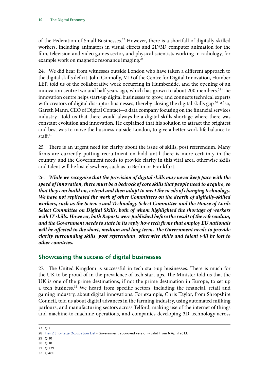<span id="page-13-0"></span>of the Federation of Small Businesses.<sup>27</sup> However, there is a shortfall of digitally-skilled workers, including animators in visual effects and 2D/3D computer animation for the film, television and video games sector, and physical scientists working in radiology, for example work on magnetic resonance imaging.<sup>28</sup>

24. We did hear from witnesses outside London who have taken a different approach to the digital skills deficit. John Connolly, MD of the Centre for Digital Innovation, Humber LEP, told us of the collaborative work occurring in Humberside, and the opening of an innovation centre two and half years ago, which has grown to about 200 members.<sup>29</sup> The innovation centre helps start-up digital businesses to grow, and connects technical experts with creators of digital disruptor businesses, thereby closing the digital skills gap.<sup>30</sup> Also, Gareth Mann, CEO of Digital Contact—a data company focusing on the financial services industry—told us that there would always be a digital skills shortage where there was constant evolution and innovation. He explained that his solution to attract the brightest and best was to move the business outside London, to give a better work-life balance to staff. $31$ 

25. There is an urgent need for clarity about the issue of skills, post referendum. Many firms are currently putting recruitment on hold until there is more certainty in the country, and the Government needs to provide clarity in this vital area, otherwise skills and talent will be lost elsewhere, such as to Berlin or Frankfurt.

26. *While we recognise that the provision of digital skills may never keep pace with the speed of innovation, there must be a bedrock of core skills that people need to acquire, so that they can build on, extend and then adapt to meet the needs of changing technology. We have not replicated the work of other Committees on the dearth of digitally-skilled workers, such as the Science and Technology Select Committee and the House of Lords Select Committee on Digital Skills, both of whom highlighted the shortage of workers with IT skills. However, both Reports were published before the result of the referendum, and the Government needs to state in its reply how tech firms that employ EU nationals will be affected in the short, medium and long term. The Government needs to provide clarity surrounding skills, post referendum, otherwise skills and talent will be lost to other countries.*

#### **Showcasing the success of digital businesses**

27. The United Kingdom is successful in tech start-up businesses. There is much for the UK to be proud of in the prevalence of tech start-ups. The Minister told us that the UK is one of the prime destinations, if not the prime destination in Europe, to set up a tech business.<sup>32</sup> We heard from specific sectors, including the financial, retail and gaming industry, about digital innovations. For example, Chris Taylor, from Shropshire Council, told us about digital advances in the farming industry, using automated milking parlours, and manufacturing sectors across Telford, making use of the internet of things and machine-to-machine operations, and companies developing 3D technology across

27 Q 3

- 29 Q 10
- 30 Q 10
- 31 Q 329
- 32 Q 480

<sup>28</sup> [Tier 2 Shortage Occupation List](https://www.gov.uk/government/uploads/system/uploads/attachment_data/file/308513/shortageoccupationlistapril14.pdf) - Government approved version - valid from 6 April 2013.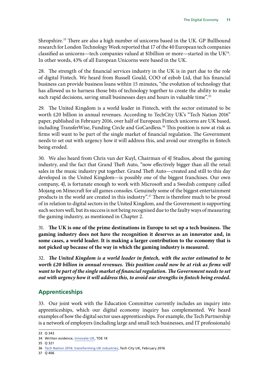<span id="page-14-0"></span>Shropshire.33 There are also a high number of unicorns based in the UK. GP Bullhound research for London Technology Week reported that 17 of the 40 European tech companies classified as unicorns—tech companies valued at \$1billion or more—started in the UK $^{34}$ . In other words, 43% of all European Unicorns were based in the UK.

28. The strength of the financial services industry in the UK is in part due to the role of digital Fintech. We heard from Russell Gould, COO of ezbob Ltd, that his financial business can provide business loans within 15 minutes, "the evolution of technology that has allowed us to harness those bits of technology together to create the ability to make such rapid decisions, saving small businesses days and hours in valuable time".<sup>35</sup>

29. The United Kingdom is a world leader in Fintech, with the sector estimated to be worth £20 billion in annual revenues. According to TechCity UK's "Tech Nation 2016" paper, published in February 2016, over half of European Fintech unicorns are UK based, including TransferWise, Funding Circle and GoCardless.<sup>36</sup> This position is now at risk as firms will want to be part of the single market of financial regulation. The Government needs to set out with urgency how it will address this, and avoid our strengths in fintech being eroded.

30. We also heard from Chris van der Kuyl, Chairman of 4J Studios, about the gaming industry, and the fact that Grand Theft Auto, "now effectively bigger than all the retail sales in the music industry put together. Grand Theft Auto—created and still to this day developed in the United Kingdom—is possibly one of the biggest franchises. Our own company, 4J, is fortunate enough to work with Microsoft and a Swedish company called Mojang on Minecraft for all games consoles. Genuinely some of the biggest entertainment products in the world are created in this industry".37 There is therefore much to be proud of in relation to digital sectors in the United Kingdom, and the Government is supporting such sectors well, but its success is not being recognised due to the faulty ways of measuring the gaming industry, as mentioned in Chapter 2.

31. The UK is one of the prime destinations in Europe to set up a tech business. The **gaming industry does not have the recognition it deserves as an innovator and, in some cases, a world leader. It is making a larger contribution to the economy that is not picked up because of the way in which the gaming industry is measured.**

32. The United Kingdom is a world leader in fintech, with the sector estimated to be *worth £20 billion in annual revenues. This position could now be at risk as firms will want to be part of the single market of financial regulation. The Government needs to set out with urgency how it will address this, to avoid our strengths in fintech being eroded.*

### **Apprenticeships**

33. Our joint work with the Education Committee currently includes an inquiry into apprenticeships, which our digital economy inquiry has complemented. We heard examples of how the digital sector uses apprenticeships. For example, the Tech Partnership is a network of employers (including large and small tech businesses, and IT professionals)

<sup>33</sup> Q 343

<sup>34</sup> Written evidence, [Innovate UK](http://data.parliament.uk/writtenevidence/committeeevidence.svc/evidencedocument/business-innovation-and-skills-committee/the-digital-economy/written/23569.html), TDE 14

<sup>35</sup> Q 321

<sup>36</sup> [Tech Nation 2016: transforming UK industries](http://www.techcityuk.com/wp-content/uploads/2016/02/Tech-Nation-2016_FINAL-ONLINE-1.pdf?utm_content=buffer2e58f&utm_medium=social&utm_source=twitter.com&utm_campaign=buffer), Tech City UK, February 2016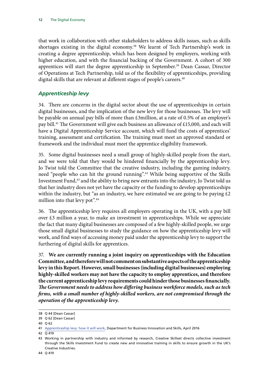<span id="page-15-0"></span>that work in collaboration with other stakeholders to address skills issues, such as skills shortages existing in the digital economy.38 We learnt of Tech Partnership's work in creating a degree apprenticeship, which has been designed by employers, working with higher education, and with the financial backing of the Government. A cohort of 300 apprentices will start the degree apprenticeship in September.<sup>39</sup> Dean Cassar, Director of Operations at Tech Partnership, told us of the flexibility of apprenticeships, providing digital skills that are relevant at different stages of people's careers.<sup>40</sup>

#### *Apprenticeship levy*

34. There are concerns in the digital sector about the use of apprenticeships in certain digital businesses, and the implication of the new levy for those businesses. The levy will be payable on annual pay bills of more than £3million, at a rate of 0.5% of an employer's pay bill.41 The Government will give each business an allowance of £15,000, and each will have a Digital Apprenticeship Service account, which will fund the costs of apprentices' training, assessment and certification. The training must meet an approved standard or framework and the individual must meet the apprentice eligibility framework.

35. Some digital businesses need a small group of highly-skilled people from the start, and we were told that they would be hindered financially by the apprenticeship levy. Jo Twist told the Committee that the creative industry, including the gaming industry, need "people who can hit the ground running".42 While being supportive of the Skills Investment Fund,<sup>43</sup> and the ability to bring new entrants into the industry, Jo Twist told us that her industry does not yet have the capacity or the funding to develop apprenticeships within the industry, but "as an industry, we have estimated we are going to be paying  $\text{\pounds}2$ million into that levy pot".<sup>44</sup>

36. The apprenticeship levy requires all employers operating in the UK, with a pay bill over £3 million a year, to make an investment in apprenticeships. While we appreciate the fact that many digital businesses are composed of a few highly-skilled people, we urge those small digital businesses to study the guidance on how the apprenticeship levy will work, and find ways of accessing money paid under the apprenticeship levy to support the furthering of digital skills for apprentices.

37. **We are currently running a joint inquiry on apprenticeships with the Education Committee, and therefore will not comment on substantive aspects of the apprenticeship levy in this Report. However, small businesses (including digital businesses) employing highly-skilled workers may not have the capacity to employ apprentices, and therefore the current apprenticeship levy requirements could hinder those businesses financially.**  *The Government needs to address how differing business workforce models, such as tech firms, with a small number of highly-skilled workers, are not compromised through the operation of the apprenticeship levy.*

<sup>38</sup> Q 44 [Dean Cassar]

<sup>39</sup> Q 62 [Dean Cassar]

<sup>40</sup> Q 62

<sup>41</sup> [Apprenticeship levy: how it will work](https://www.gov.uk/government/publications/apprenticeship-levy-how-it-will-work/apprenticeship-levy-how-it-will-work), Department for Business Innovation and Skills, April 2016

<sup>42</sup> Q 419

<sup>43</sup> Working in partnership with industry and informed by research, Creative Skillset directs collective investment through the Skills Investment Fund to create new and innovative training in skills to ensure growth in the UK's Creative Industries.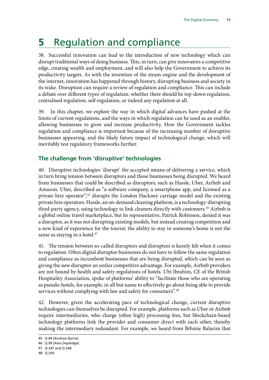### <span id="page-16-0"></span>**5** Regulation and compliance

38. Successful innovation can lead to the introduction of new technology which can disrupt traditional ways of doing business. This, in turn, can give innovators a competitive edge, creating wealth and employment, and will also help the Government to achieve its productivity targets. As with the invention of the steam engine and the development of the internet, innovation has happened through history, disrupting business and society in its wake. Disruption can require a review of regulation and compliance. This can include a debate over different types of regulation: whether there should be top-down regulation, centralised regulation, self-regulation, or indeed any regulation at all.

39. In this chapter, we explore the way in which digital advances have pushed at the limits of current regulations, and the ways in which regulation can be used as an enabler, allowing businesses to grow and increase productivity. How the Government tackles regulation and compliance is important because of the increasing number of disruptive businesses appearing, and the likely future impact of technological change, which will inevitably test regulatory frameworks further.

### **The challenge from 'disruptive' technologies**

40. Disruptive technologies 'disrupt' the accepted means of delivering a service, which in turn bring tension between disruptors and those businesses being disrupted. We heard from businesses that could be described as disruptors, such as Hassle, Uber, Airbnb and Amazon. Uber, described as "a software company, a smartphone app, and licensed as a private hire operator",45 disrupts the London Hackney carriage model and the existing private hire operators. Hassle, an on-demand cleaning platform, is a technology-disrupting third-party agency, using technology to link cleaners directly with customers.46 Airbnb is a global online travel marketplace, but its representative, Patrick Robinson, denied it was a disruptor, as it was not disrupting existing models, but instead creating competition and a new kind of experience for the tourist; the ability to stay in someone's home is not the same as staying in a hotel.<sup>47</sup>

41. The tension between so-called disruptors and disruptees is keenly felt when it comes to regulation. Often digital disruptor businesses do not have to follow the same regulation and compliance as incumbent businesses that are being disrupted, which can be seen as giving the new disruptor an unfair competitive advantage. For example, Airbnb providers are not bound by health and safety regulations of hotels. Ubi Ibrahim, CE of the British Hospitality Association, spoke of platforms' ability to "facilitate those who are operating as pseudo-hotels, for example, in all but name to effectively go about being able to provide services without complying with law and safety for consumers".<sup>48</sup>

42. However, given the accelerating pace of technological change, current disruptive technologies can themselves be disrupted. For example, platforms such as Uber or Airbnb require intermediaries, who charge (often high) processing fees, but blockchain-based technology platforms link the provider and consumer direct with each other, thereby making the intermediary redundant. For example, we heard from Brhmie Balarim that

<sup>45</sup> Q 69 [Andrew Byrne]

<sup>46</sup> Q 99 [Alex Depledge]

<sup>47</sup> Q 247 and Q 248

<sup>48</sup> Q 250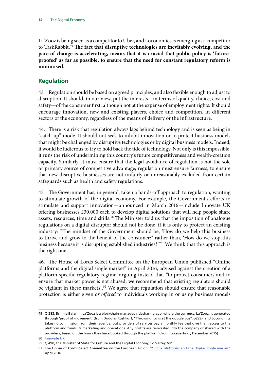<span id="page-17-0"></span>La'Zooz is being seen as a competitor to Uber, and Loconomics is emerging as a competitor to TaskRabbit.<sup>49</sup> The fact that disruptive technologies are inevitably evolving, and the **pace of change is accelerating, means that it is crucial that public policy is 'futureproofed' as far as possible, to ensure that the need for constant regulatory reform is minimised.**

### **Regulation**

43. Regulation should be based on agreed principles, and also flexible enough to adjust to disruption. It should, in our view, put the interests—in terms of quality, choice, cost and safety—of the consumer first, although not at the expense of employment rights. It should encourage innovation, new and existing players, choice and competition, in different sectors of the economy, regardless of the means of delivery or the infrastructure.

44. There is a risk that regulation always lags behind technology and is seen as being in "catch-up" mode. It should not seek to inhibit innovation or to protect business models that might be challenged by disruptive technologies or by digital business models. Indeed, it would be ludicrous to try to hold back the tide of technology. Not only is this impossible, it runs the risk of undermining this country's future competitiveness and wealth-creation capacity. Similarly, it must ensure that the legal avoidance of regulation is not the sole or primary source of competitive advantage; regulation must ensure fairness, to ensure that new disruptive businesses are not unfairly or unreasonably excluded from certain safeguards such as health and safety regulations.

45. The Government has, in general, taken a hands-off approach to regulation, wanting to stimulate growth of the digital economy. For example, the Government's efforts to stimulate and support innovation—announced in March 2016—include Innovate UK offering businesses  $£30,000$  each to develop digital solutions that will help people share assets, resources, time and skills.<sup>50</sup> The Minister told us that the imposition of analogue regulations on a digital disruptor should not be done, if it is only to protect an existing industry: "The mindset of the Government should be, 'How do we help this business to thrive and grow to the benefit of the consumer?' rather than, 'How do we stop this business because it is disrupting established industries?'"51 We think that this approach is the right one.

46. The House of Lords Select Committee on the European Union published "Online platforms and the digital single market" in April 2016, advised against the creation of a platform-specific regulatory regime, arguing instead that "to protect consumers and to ensure that market power is not abused, we recommend that existing regulators should be vigilant in these markets".<sup>52</sup> We agree that regulation should ensure that reasonable protection is either given *or offered* to individuals working in or using business models

<sup>49</sup> Q 383, Brhmie Balarim. La'Zooz is a blockchain-managed ridesharing app, where the currency, La'Zooz, is generated through 'proof of movement' (from Douglas Rushkoff, "Throwing rocks at the google bus", p222), and Loconomics takes no commission from their revenue, but providers of services pay a monthly fee that give them access to the platform and funds its marketing and operations. Any profits are reinvested into the company or shared with the providers, based on the hours they have booked through the platform (from 'Locavesting', December 2015). 50 [Innovate UK](https://innovateuk.blog.gov.uk/2016/04/04/2426/)

<sup>51</sup> Q 490, the Minister of State for Culture and the Digital Economy, Ed Vaizey MP.

<sup>52</sup> The House of Lord's Select Committee on the European Union, *["Online platforms and the digital single market](https://hopuk.sharepoint.com/sites/BusinessInnovationandSkills/Shared%20Documents/The%20House%20of%20Lord)"* April 2016.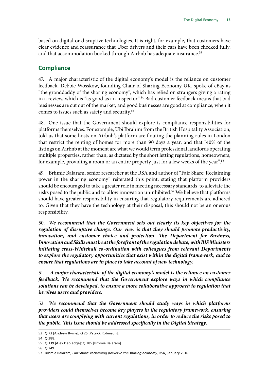<span id="page-18-0"></span>based on digital or disruptive technologies. It is right, for example, that customers have clear evidence and reassurance that Uber drivers and their cars have been checked fully, and that accommodation booked through Airbnb has adequate insurance.<sup>53</sup>

#### **Compliance**

47. A major characteristic of the digital economy's model is the reliance on customer feedback. Debbie Wosskow, founding Chair of Sharing Economy UK, spoke of eBay as "the granddaddy of the sharing economy", which has relied on strangers giving a rating in a review, which is "as good as an inspector".54 Bad customer feedback means that bad businesses are cut out of the market, and good businesses are good at compliance, when it comes to issues such as safety and security.55

48. One issue that the Government should explore is compliance responsibilities for platforms themselves. For example, Ubi Ibrahim from the British Hospitality Association, told us that some hosts on Airbnb's platform are flouting the planning rules in London that restrict the renting of homes for more than 90 days a year, and that "40% of the listings on Airbnb at the moment are what we would term professional landlords operating multiple properties, rather than, as dictated by the short letting regulations, homeowners, for example, providing a room or an entire property just for a few weeks of the year".<sup>56</sup>

49. Brhmie Balaram, senior researcher at the RSA and author of "Fair Share: Reclaiming power in the sharing economy" reiterated this point, stating that platform providers should be encouraged to take a greater role in meeting necessary standards, to alleviate the risks posed to the public and to allow innovation uninhibited.<sup>57</sup> We believe that platforms should have greater responsibility in ensuring that regulatory requirements are adhered to. Given that they have the technology at their disposal, this should not be an onerous responsibility.

50. *We recommend that the Government sets out clearly its key objectives for the regulation of disruptive change. Our view is that they should promote productivity, innovation, and customer choice and protection. The Department for Business, Innovation and Skills must be at the forefront of the regulation debate, with BIS Ministers initiating cross-Whitehall co-ordination with colleagues from relevant Departments to explore the regulatory opportunities that exist within the digital framework, and to ensure that regulations are in place to take account of new technology.*

51. *A major characteristic of the digital economy's model is the reliance on customer feedback. We recommend that the Government explore ways in which compliance solutions can be developed, to ensure a more collaborative approach to regulation that involves users and providers.*

52. *We recommend that the Government should study ways in which platforms providers could themselves become key players in the regulatory framework, ensuring that users are complying with current regulations, in order to reduce the risks posed to the public. This issue should be addressed specifically in the Digital Strategy.*

<sup>53</sup> Q 73 [Andrew Byrne]; Q 25 [Patrick Robinson].

<sup>54</sup> Q 388.

<sup>55</sup> Q 139 [Alex Depledge]; Q 385 [Brhmie Balaram].

<sup>56</sup> Q 249

<sup>57</sup> Brhmie Balaram, *Fair Share: reclaiming power in the sharing economy*, RSA, January 2016.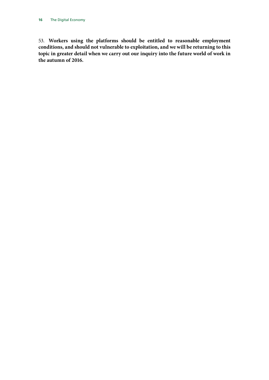53. **Workers using the platforms should be entitled to reasonable employment conditions, and should not vulnerable to exploitation, and we will be returning to this topic in greater detail when we carry out our inquiry into the future world of work in the autumn of 2016.**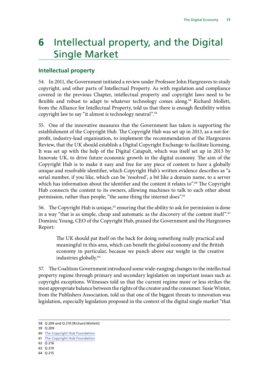### <span id="page-20-0"></span>**6** Intellectual property, and the Digital Single Market

### **Intellectual property**

54. In 2011, the Government initiated a review under Professor John Hargreaves to study copyright, and other parts of Intellectual Property. As with regulation and compliance covered in the previous Chapter, intellectual property and copyright laws need to be flexible and robust to adapt to whatever technology comes along.<sup>58</sup> Richard Mollett, from the Alliance for Intellectual Property, told us that there is enough flexibility within copyright law to say "it almost is technology neutral".59

55. One of the innovative measures that the Government has taken is supporting the establishment of the Copyright Hub. The Copyright Hub was set up in 2013, as a not-forprofit, industry-lead organisation, to implement the recommendation of the Hargreaves Review, that the UK should establish a Digital Copyright Exchange to facilitate licensing. It was set up with the help of the Digital Catapult, which was itself set up in 2013 by Innovate UK, to drive future economic growth in the digital economy. The aim of the Copyright Hub is to make it easy and free for any piece of content to have a globally unique and resolvable identifier, which Copyright Hub's written evidence describes as "a serial number, if you like, which can be 'resolved', a bit like a domain name, to a server which has information about the identifier and the content it relates to".<sup>60</sup> The Copyright Hub connects the content to its owners, allowing machines to talk to each other about permission, rather than people; "the same thing the internet does".<sup>61</sup>

56. The Copyright Hub is unique, $62$  ensuring that the ability to ask for permission is done in a way "that is as simple, cheap and automatic as the discovery of the content itself".63 Dominic Young, CEO of the Copyright Hub, praised the Government and the Hargreaves Report:

The UK should pat itself on the back for doing something really practical and meaningful in this area, which can benefit the global economy and the British economy in particular, because we punch above our weight in the creative industries globally.64

57. The Coalition Government introduced some wide-ranging changes to the intellectual property regime through primary and secondary legislation on important issues such as copyright exceptions. Witnesses told us that the current regime more or less strikes the most appropriate balance between the rights of the creator and the consumer. Susie Winter, from the Publishers Association, told us that one of the biggest threats to innovation was legislation, especially legislation proposed in the context of the digital single market "that

<sup>58</sup> Q 209 and Q 210 [Richard Mollett]

<sup>59</sup> Q 209

<sup>60</sup> [The Copyright Hub Foundation](http://data.parliament.uk/writtenevidence/committeeevidence.svc/evidencedocument/business-innovation-and-skills-committee/the-digital-economy/written/25693.html)

<sup>61</sup> [The Copyright Hub Foundation](http://data.parliament.uk/writtenevidence/committeeevidence.svc/evidencedocument/business-innovation-and-skills-committee/the-digital-economy/written/25693.html)

<sup>62</sup> Q 216

<sup>63</sup> Q 210

<sup>64</sup> Q 215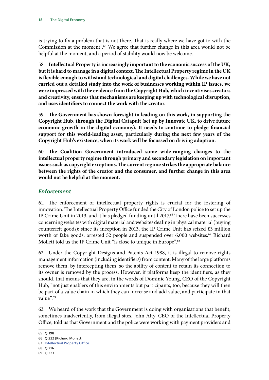<span id="page-21-0"></span>is trying to fix a problem that is not there. That is really where we have got to with the Commission at the moment".<sup>65</sup> We agree that further change in this area would not be helpful at the moment, and a period of stability would now be welcome.

58. **Intellectual Property is increasingly important to the economic success of the UK, but it is hard to manage in a digital context. The Intellectual Property regime in the UK is flexible enough to withstand technological and digital challenges. While we have not carried out a detailed study into the work of businesses working within IP issues, we were impressed with the evidence from the Copyright Hub, which incentivises creators and creativity, ensures that mechanisms are keeping up with technological disruption, and uses identifiers to connect the work with the creator.**

59. The Government has shown foresight in leading on this work, in supporting the **Copyright Hub, through the Digital Catapult (set up by Innovate UK, to drive future economic growth in the digital economy). It needs to continue to pledge financial support for this world-leading asset, particularly during the next few years of the Copyright Hub's existence, when its work will be focussed on driving adoption.**

60. **T he Coalition Government introduced some wide-ranging changes to the intellectual property regime through primary and secondary legislation on important issues such as copyright exceptions. The current regime strikes the appropriate balance between the rights of the creator and the consumer, and further change in this area would not be helpful at the moment.**

#### *Enforcement*

61. The enforcement of intellectual property rights is crucial for the fostering of innovation. The Intellectual Property Office funded the City of London police to set up the IP Crime Unit in 2013, and it has pledged funding until 2017.<sup>66</sup> There have been successes concerning websites with digital material and websites dealing in physical material (buying counterfeit goods); since its inception in 2013, the IP Crime Unit has seized  $£3$  million worth of fake goods, arrested 52 people and suspended over 6,000 websites.<sup>67</sup> Richard Mollett told us the IP Crime Unit "is close to unique in Europe".<sup>68</sup>

62. Under the Copyright Designs and Patents Act 1988, it is illegal to remove rights management information (including identifiers) from content. Many of the large platforms remove them, by intercepting them, so the ability of content to retain its connection to its owner is removed by the process. However, if platforms keep the identifiers, as they should, that means that they are, in the words of Dominic Young, CEO of the Copyright Hub, "not just enablers of this environments but participants, too, because they will then be part of a value chain in which they can increase and add value, and participate in that value".<sup>69</sup>

63. We heard of the work that the Government is doing with organisations that benefit, sometimes inadvertently, from illegal sites. John Alty, CEO of the Intellectual Property Office, told us that Government and the police were working with payment providers and

69 Q 223

<sup>65</sup> Q 198

<sup>66</sup> Q 222 [Richard Mollett]

<sup>67</sup> [Intellectual Property Office](http://data.parliament.uk/writtenevidence/committeeevidence.svc/evidencedocument/business-innovation-and-skills-committee/the-digital-economy/written/24568.html)

<sup>68</sup> Q 216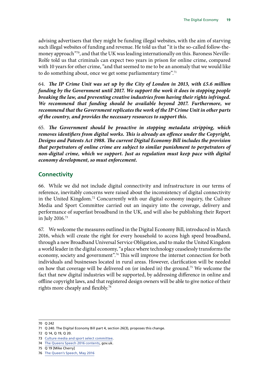<span id="page-22-0"></span>advising advertisers that they might be funding illegal websites, with the aim of starving such illegal websites of funding and revenue. He told us that "it is the so-called follow-themoney approach"70, and that the UK was leading internationally on this. Baroness Neville-Rolfe told us that criminals can expect two years in prison for online crime, compared with 10 years for other crime, "and that seemed to me to be an anomaly that we would like to do something about, once we get some parliamentary time".<sup>71</sup>

64. *The IP Crime Unit was set up by the City of London in 2013, with £5.6 million funding by the Government until 2017. We support the work it does in stopping people breaking the law, and preventing creative industries from having their rights infringed. We recommend that funding should be available beyond 2017. Furthermore, we recommend that the Government replicates the work of the IP Crime Unit in other parts of the country, and provides the necessary resources to support this.*

65. The Government should be proactive in stopping metadata stripping, which *removes identifiers from digital works. This is already an offence under the Copyright, Designs and Patents Act 1988. The current Digital Economy Bill includes the provision that perpetrators of online crime are subject to similar punishment to perpetrators of non-digital crime, which we support. Just as regulation must keep pace with digital economy development, so must enforcement.*

#### **Connectivity**

66. While we did not include digital connectivity and infrastructure in our terms of reference, inevitably concerns were raised about the inconsistency of digital connectivity in the United Kingdom.72 Concurrently with our digital economy inquiry, the Culture Media and Sport Committee carried out an inquiry into the coverage, delivery and performance of superfast broadband in the UK, and will also be publishing their Report in July 2016.73

67. We welcome the measures outlined in the Digital Economy Bill, introduced in March 2016, which will create the right for every household to access high speed broadband, through a new Broadband Universal Service Obligation, and to make the United Kingdom a world leader in the digital economy, "a place where technology ceaselessly transforms the economy, society and government".74 This will improve the internet connection for both individuals and businesses located in rural areas. However, clarification will be needed on how that coverage will be delivered on (or indeed in) the ground.75 We welcome the fact that new digital industries will be supported, by addressing difference in online and offline copyright laws, and that registered design owners will be able to give notice of their rights more cheaply and flexibly.<sup>76</sup>

<sup>70</sup> Q 242

<sup>71</sup> Q 240. The Digital Economy Bill part 4, section 26(3), proposes this change.

<sup>72</sup> Q 14, Q 19, Q 20.

<sup>73</sup> [Culture media and sport select committee](http://www.parliament.uk/business/committees/committees-a-z/commons-select/culture-media-and-sport-committee/inquiries/parliament-2015/establishing-world-class-connectivity-throughout-the-uk-15-16/).

<sup>74</sup> [The Queens Speech 2016 contents,](https://www.gov.uk/government/uploads/system/uploads/attachment_data/file/524040/Queen_s_Speech_2016_background_notes_.pdf) gov.uk.

<sup>75</sup> Q 19 [Mike Cherry]

<sup>76</sup> [The Queen's Speech, May 2016](https://www.gov.uk/government/uploads/system/uploads/attachment_data/file/524040/Queen_s_Speech_2016_background_notes_.pdf)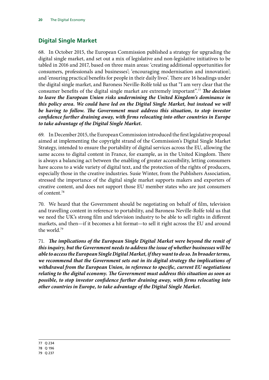### <span id="page-23-0"></span>**Digital Single Market**

68. In October 2015, the European Commission published a strategy for upgrading the digital single market, and set out a mix of legislative and non-legislative initiatives to be tabled in 2016 and 2017, based on three main areas: 'creating additional opportunities for consumers, professionals and businesses'; 'encouraging modernisation and innovation'; and 'ensuring practical benefits for people in their daily lives'. There are 16 headings under the digital single market, and Baroness Neville-Rolfe told us that "I am very clear that the consumer benefits of the digital single market are extremely important".<sup>77</sup> **The decision** *to leave the European Union risks undermining the United Kingdom's dominance in this policy area. We could have led on the Digital Single Market, but instead we will*  be having to follow. The Government must address this situation, to stop investor *confidence further draining away, with firms relocating into other countries in Europe to take advantage of the Digital Single Market.*

69. In December 2015, the European Commission introduced the first legislative proposal aimed at implementing the copyright strand of the Commission's Digital Single Market Strategy, intended to ensure the portability of digital services across the EU, allowing the same access to digital content in France, for example, as in the United Kingdom. There is always a balancing act between the enabling of greater accessibility, letting consumers have access to a wide variety of digital text, and the protection of the rights of producers, especially those in the creative industries. Susie Winter, from the Publishers Association, stressed the importance of the digital single market supports makers and exporters of creative content, and does not support those EU member states who are just consumers of content.78

70. We heard that the Government should be negotiating on behalf of film, television and travelling content in reference to portability, and Baroness Neville-Rolfe told us that we need the UK's strong film and television industry to be able to sell rights in different markets, and then—if it becomes a hit format—to sell it right across the EU and around the world.79

71. *T he implications of the European Single Digital Market were beyond the remit of this inquiry, but the Government needs to address the issue of whether businesses will be able to access the European Single Digital Market, if they want to do so. In broader terms, we recommend that the Government sets out in its digital strategy the implications of withdrawal from the European Union, in reference to specific, current EU negotiations relating to the digital economy. The Government must address this situation as soon as possible, to stop investor confidence further draining away, with firms relocating into other countries in Europe, to take advantage of the Digital Single Market.*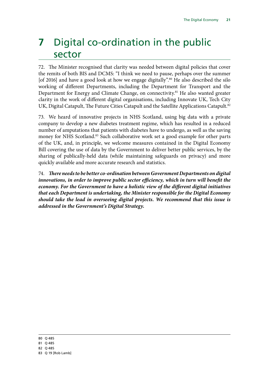### <span id="page-24-0"></span>**7** Digital co-ordination in the public sector

72. The Minister recognised that clarity was needed between digital policies that cover the remits of both BIS and DCMS: "I think we need to pause, perhaps over the summer [of 2016] and have a good look at how we engage digitally".<sup>80</sup> He also described the silo working of different Departments, including the Department for Transport and the Department for Energy and Climate Change, on connectivity.<sup>81</sup> He also wanted greater clarity in the work of different digital organisations, including Innovate UK, Tech City UK, Digital Catapult, The Future Cities Catapult and the Satellite Applications Catapult.<sup>82</sup>

73. We heard of innovative projects in NHS Scotland, using big data with a private company to develop a new diabetes treatment regime, which has resulted in a reduced number of amputations that patients with diabetes have to undergo, as well as the saving money for NHS Scotland.<sup>83</sup> Such collaborative work set a good example for other parts of the UK, and, in principle, we welcome measures contained in the Digital Economy Bill covering the use of data by the Government to deliver better public services, by the sharing of publically-held data (while maintaining safeguards on privacy) and more quickly available and more accurate research and statistics.

74. *There needs to be better co-ordination between Government Departments on digital* innovations, in order to improve public sector efficiency, which in turn will benefit the *economy. For the Government to have a holistic view of the different digital initiatives that each Department is undertaking, the Minister responsible for the Digital Economy should take the lead in overseeing digital projects. We recommend that this issue is addressed in the Government's Digital Strategy.*

80 Q 485

81 Q 485

82 Q 485

83 Q 19 [Rob Lamb]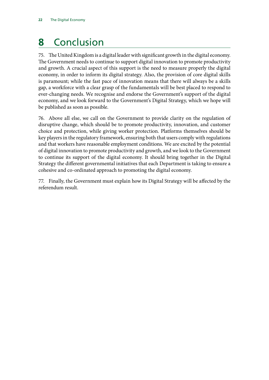## <span id="page-25-0"></span>**8** Conclusion

75. The United Kingdom is a digital leader with significant growth in the digital economy. The Government needs to continue to support digital innovation to promote productivity and growth. A crucial aspect of this support is the need to measure properly the digital economy, in order to inform its digital strategy. Also, the provision of core digital skills is paramount; while the fast pace of innovation means that there will always be a skills gap, a workforce with a clear grasp of the fundamentals will be best placed to respond to ever-changing needs. We recognise and endorse the Government's support of the digital economy, and we look forward to the Government's Digital Strategy, which we hope will be published as soon as possible.

76. Above all else, we call on the Government to provide clarity on the regulation of disruptive change, which should be to promote productivity, innovation, and customer choice and protection, while giving worker protection. Platforms themselves should be key players in the regulatory framework, ensuring both that users comply with regulations and that workers have reasonable employment conditions. We are excited by the potential of digital innovation to promote productivity and growth, and we look to the Government to continue its support of the digital economy. It should bring together in the Digital Strategy the different governmental initiatives that each Department is taking to ensure a cohesive and co-ordinated approach to promoting the digital economy.

77. Finally, the Government must explain how its Digital Strategy will be affected by the referendum result.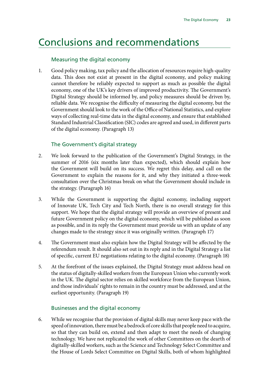### <span id="page-26-0"></span>Conclusions and recommendations

#### Measuring the digital economy

1. Good policy making, tax policy and the allocation of resources require high-quality data. This does not exist at present in the digital economy, and policy making cannot therefore be reliably expected to support as much as possible the digital economy, one of the UK's key drivers of improved productivity. The Government's Digital Strategy should be informed by, and policy measures should be driven by, reliable data. We recognise the difficulty of measuring the digital economy, but the Government should look to the work of the Office of National Statistics, and explore ways of collecting real-time data in the digital economy, and ensure that established Standard Industrial Classification (SIC) codes are agreed and used, in different parts of the digital economy. (Paragraph 13)

#### The Government's digital strategy

- 2. We look forward to the publication of the Government's Digital Strategy, in the summer of 2016 (six months later than expected), which should explain how the Government will build on its success. We regret this delay, and call on the Government to explain the reasons for it, and why they initiated a three-week consultation over the Christmas break on what the Government should include in the strategy. (Paragraph 16)
- 3. While the Government is supporting the digital economy, including support of Innovate UK, Tech City and Tech North, there is no overall strategy for this support. We hope that the digital strategy will provide an overview of present and future Government policy on the digital economy, which will be published as soon as possible, and in its reply the Government must provide us with an update of any changes made to the strategy since it was originally written. (Paragraph 17)
- 4. The Government must also explain how the Digital Strategy will be affected by the referendum result. It should also set out in its reply and in the Digital Strategy a list of specific, current EU negotiations relating to the digital economy. (Paragraph 18)
- 5. At the forefront of the issues explained, the Digital Strategy must address head on the status of digitally-skilled workers from the European Union who currently work in the UK. The digital sector relies on skilled workforce from the European Union, and those individuals' rights to remain in the country must be addressed, and at the earliest opportunity. (Paragraph 19)

#### Businesses and the digital economy

6. While we recognise that the provision of digital skills may never keep pace with the speed of innovation, there must be a bedrock of core skills that people need to acquire, so that they can build on, extend and then adapt to meet the needs of changing technology. We have not replicated the work of other Committees on the dearth of digitally-skilled workers, such as the Science and Technology Select Committee and the House of Lords Select Committee on Digital Skills, both of whom highlighted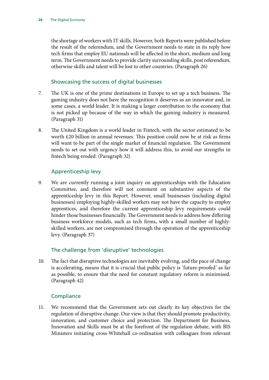the shortage of workers with IT skills. However, both Reports were published before the result of the referendum, and the Government needs to state in its reply how tech firms that employ EU nationals will be affected in the short, medium and long term. The Government needs to provide clarity surrounding skills, post referendum, otherwise skills and talent will be lost to other countries. (Paragraph 26)

#### Showcasing the success of digital businesses

- 7. The UK is one of the prime destinations in Europe to set up a tech business. The gaming industry does not have the recognition it deserves as an innovator and, in some cases, a world leader. It is making a larger contribution to the economy that is not picked up because of the way in which the gaming industry is measured. (Paragraph 31)
- 8. The United Kingdom is a world leader in Fintech, with the sector estimated to be worth £20 billion in annual revenues. This position could now be at risk as firms will want to be part of the single market of financial regulation. The Government needs to set out with urgency how it will address this, to avoid our strengths in fintech being eroded. (Paragraph 32)

#### Apprenticeship levy

9. We are currently running a joint inquiry on apprenticeships with the Education Committee, and therefore will not comment on substantive aspects of the apprenticeship levy in this Report. However, small businesses (including digital businesses) employing highly-skilled workers may not have the capacity to employ apprentices, and therefore the current apprenticeship levy requirements could hinder those businesses financially. The Government needs to address how differing business workforce models, such as tech firms, with a small number of highlyskilled workers, are not compromised through the operation of the apprenticeship levy. (Paragraph 37)

#### The challenge from 'disruptive' technologies

10. The fact that disruptive technologies are inevitably evolving, and the pace of change is accelerating, means that it is crucial that public policy is 'future-proofed' as far as possible, to ensure that the need for constant regulatory reform is minimised. (Paragraph 42)

#### **Compliance**

11. We recommend that the Government sets out clearly its key objectives for the regulation of disruptive change. Our view is that they should promote productivity, innovation, and customer choice and protection. The Department for Business, Innovation and Skills must be at the forefront of the regulation debate, with BIS Ministers initiating cross-Whitehall co-ordination with colleagues from relevant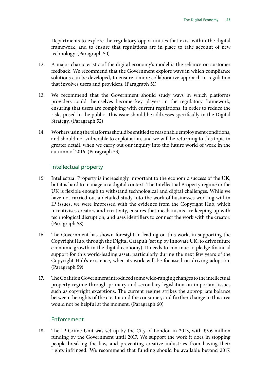Departments to explore the regulatory opportunities that exist within the digital framework, and to ensure that regulations are in place to take account of new technology. (Paragraph 50)

- 12. A major characteristic of the digital economy's model is the reliance on customer feedback. We recommend that the Government explore ways in which compliance solutions can be developed, to ensure a more collaborative approach to regulation that involves users and providers. (Paragraph 51)
- 13. We recommend that the Government should study ways in which platforms providers could themselves become key players in the regulatory framework, ensuring that users are complying with current regulations, in order to reduce the risks posed to the public. This issue should be addresses specifically in the Digital Strategy. (Paragraph 52)
- 14. Workers using the platforms should be entitled to reasonable employment conditions, and should not vulnerable to exploitation, and we will be returning to this topic in greater detail, when we carry out our inquiry into the future world of work in the autumn of 2016. (Paragraph 53)

#### Intellectual property

- 15. Intellectual Property is increasingly important to the economic success of the UK, but it is hard to manage in a digital context. The Intellectual Property regime in the UK is flexible enough to withstand technological and digital challenges. While we have not carried out a detailed study into the work of businesses working within IP issues, we were impressed with the evidence from the Copyright Hub, which incentivises creators and creativity, ensures that mechanisms are keeping up with technological disruption, and uses identifiers to connect the work with the creator. (Paragraph 58)
- 16. The Government has shown foresight in leading on this work, in supporting the Copyright Hub, through the Digital Catapult (set up by Innovate UK, to drive future economic growth in the digital economy). It needs to continue to pledge financial support for this world-leading asset, particularly during the next few years of the Copyright Hub's existence, when its work will be focussed on driving adoption. (Paragraph 59)
- 17. The Coalition Government introduced some wide-ranging changes to the intellectual property regime through primary and secondary legislation on important issues such as copyright exceptions. The current regime strikes the appropriate balance between the rights of the creator and the consumer, and further change in this area would not be helpful at the moment. (Paragraph 60)

#### Enforcement

18. The IP Crime Unit was set up by the City of London in 2013, with £5.6 million funding by the Government until 2017. We support the work it does in stopping people breaking the law, and preventing creative industries from having their rights infringed. We recommend that funding should be available beyond 2017.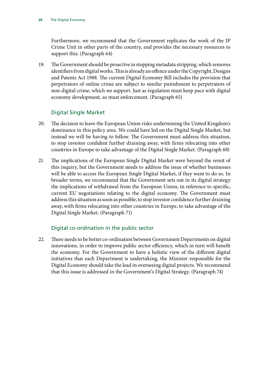Furthermore, we recommend that the Government replicates the work of the IP Crime Unit in other parts of the country, and provides the necessary resources to support this. (Paragraph 64)

19. The Government should be proactive in stopping metadata stripping, which removes identifiers from digital works. This is already an offence under the Copyright, Designs and Patents Act 1988. The current Digital Economy Bill includes the provision that perpetrators of online crime are subject to similar punishment to perpetrators of non-digital crime, which we support. Just as regulation must keep pace with digital economy development, so must enforcement. (Paragraph 65)

#### Digital Single Market

- 20. The decision to leave the European Union risks undermining the United Kingdom's dominance in this policy area. We could have led on the Digital Single Market, but instead we will be having to follow. The Government must address this situation, to stop investor confident further draining away, with firms relocating into other countries in Europe to take advantage of the Digital Single Market. (Paragraph 68)
- 21. The implications of the European Single Digital Market were beyond the remit of this inquiry, but the Government needs to address the issue of whether businesses will be able to access the European Single Digital Market, if they want to do so. In broader terms, we recommend that the Government sets out in its digital strategy the implications of withdrawal from the European Union, in reference to specific, current EU negotiations relating to the digital economy. The Government must address this situation as soon as possible, to stop investor confidence further draining away, with firms relocating into other countries in Europe, to take advantage of the Digital Single Market. (Paragraph 71)

#### Digital co-ordination in the public sector

22. There needs to be better co-ordination between Government Departments on digital innovations, in order to improve public sector efficiency, which in turn will benefit the economy. For the Government to have a holistic view of the different digital initiatives that each Department is undertaking, the Minister responsible for the Digital Economy should take the lead in overseeing digital projects. We recommend that this issue is addressed in the Government's Digital Strategy. (Paragraph 74)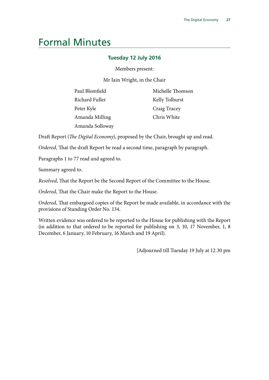### <span id="page-30-0"></span>Formal Minutes

#### **Tuesday 12 July 2016**

Members present:

Mr Iain Wright, in the Chair

| Paul Blomfield  | Michelle Thomson |
|-----------------|------------------|
| Richard Fuller  | Kelly Tolhurst   |
| Peter Kyle      | Craig Tracey     |
| Amanda Milling  | Chris White      |
| Amanda Solloway |                  |

Draft Report (*The Digital Economy*), proposed by the Chair, brought up and read.

*Ordered*, That the draft Report be read a second time, paragraph by paragraph.

Paragraphs 1 to 77 read and agreed to.

Summary agreed to.

*Resolved*, That the Report be the Second Report of the Committee to the House.

*Ordered*, That the Chair make the Report to the House.

*Ordered*, That embargoed copies of the Report be made available, in accordance with the provisions of Standing Order No. 134.

Written evidence was ordered to be reported to the House for publishing with the Report (in addition to that ordered to be reported for publishing on 3, 10, 17 November, 1, 8 December, 6 January, 10 February, 16 March and 19 April).

[Adjourned till Tuesday 19 July at 12.30 pm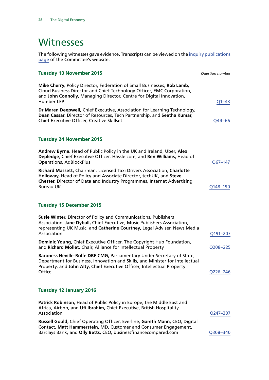### <span id="page-31-0"></span>**Witnesses**

The following witnesses gave evidence. Transcripts can be viewed on the [inquiry publications](http://www.parliament.uk/business/committees/committees-a-z/commons-select/business-innovation-and-skills/inquiries/parliament-2015/digital-economy/publications/) [page](http://www.parliament.uk/business/committees/committees-a-z/commons-select/business-innovation-and-skills/inquiries/parliament-2015/digital-economy/publications/) of the Committee's website.

| <b>Tuesday 10 November 2015</b>                                                                                                                                                                                                                | <b>Question number</b> |
|------------------------------------------------------------------------------------------------------------------------------------------------------------------------------------------------------------------------------------------------|------------------------|
| Mike Cherry, Policy Director, Federation of Small Businesses, Rob Lamb,<br>Cloud Business Director and Chief Technology Officer, EMC Corporation,<br>and John Connolly, Managing Director, Centre for Digital Innovation,<br><b>Humber LEP</b> | $Q1 - 43$              |
| Dr Maren Deepwell, Chief Executive, Association for Learning Technology,<br>Dean Cassar, Director of Resources, Tech Partnership, and Seetha Kumar,<br>Chief Executive Officer, Creative Skillset                                              | Q44-66                 |
| <b>Tuesday 24 November 2015</b>                                                                                                                                                                                                                |                        |
| Andrew Byrne, Head of Public Policy in the UK and Ireland, Uber, Alex<br>Depledge, Chief Executive Officer, Hassle.com, and Ben Williams, Head of<br><b>Operations, AdBlockPlus</b>                                                            | Q67-147                |
| Richard Massett, Chairman, Licensed Taxi Drivers Association, Charlotte<br>Holloway, Head of Policy and Associate Director, techUK, and Steve<br>Chester, Director of Data and Industry Programmes, Internet Advertising<br><b>Bureau UK</b>   | Q148-190               |
| <b>Tuesday 15 December 2015</b>                                                                                                                                                                                                                |                        |
| Susie Winter, Director of Policy and Communications, Publishers<br>Association, Jane Dyball, Chief Executive, Music Publishers Association,<br>representing UK Music, and Catherine Courtney, Legal Adviser, News Media<br>Association         | Q191-207               |
| Dominic Young, Chief Executive Officer, The Copyright Hub Foundation,<br>and Richard Mollet, Chair, Alliance for Intellectual Property                                                                                                         | Q208-225               |
| Baroness Neville-Rolfe DBE CMG, Parliamentary Under-Secretary of State,<br>Department for Business, Innovation and Skills, and Minister for Intellectual<br>Property, and John Alty, Chief Executive Officer, Intellectual Property<br>Office  | Q226-246               |
| <b>Tuesday 12 January 2016</b>                                                                                                                                                                                                                 |                        |
| Patrick Robinson, Head of Public Policy in Europe, the Middle East and<br>Africa, Airbnb, and Ufi Ibrahim, Chief Executive, British Hospitality<br>Association                                                                                 | Q247-307               |
| Russell Gould, Chief Operating Officer, Everline, Gareth Mann, CEO, Digital<br>Contact, Matt Hammerstein, MD, Customer and Consumer Engagement,<br>Barclays Bank, and Olly Betts, CEO, businessfinancecompared.com                             | Q308-340               |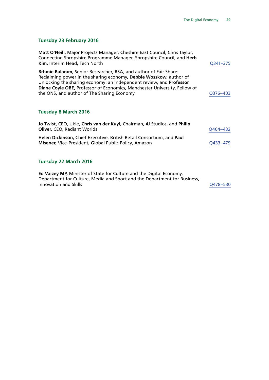#### **Tuesday 23 February 2016**

| Matt O'Neill, Major Projects Manager, Cheshire East Council, Chris Taylor,<br>Connecting Shropshire Programme Manager, Shropshire Council, and Herb<br>Kim, Interim Head, Tech North                                                                                                                                                             | Q341-375 |
|--------------------------------------------------------------------------------------------------------------------------------------------------------------------------------------------------------------------------------------------------------------------------------------------------------------------------------------------------|----------|
| Brhmie Balaram, Senior Researcher, RSA, and author of Fair Share:<br>Reclaiming power in the sharing economy, Debbie Wosskow, author of<br>Unlocking the sharing economy: an independent review, and <b>Professor</b><br>Diane Coyle OBE, Professor of Economics, Manchester University, Fellow of<br>the ONS, and author of The Sharing Economy | Q376-403 |
| <b>Tuesday 8 March 2016</b>                                                                                                                                                                                                                                                                                                                      |          |
| Jo Twist, CEO, Ukie, Chris van der Kuyl, Chairman, 4J Studios, and Philip<br><b>Oliver, CEO, Radiant Worlds</b>                                                                                                                                                                                                                                  | Q404–432 |
| Helen Dickinson, Chief Executive, British Retail Consortium, and Paul<br>Misener, Vice-President, Global Public Policy, Amazon                                                                                                                                                                                                                   | O433-479 |
| <b>Tuesday 22 March 2016</b>                                                                                                                                                                                                                                                                                                                     |          |
| Ed Vaizey MP, Minister of State for Culture and the Digital Economy,<br>Department for Culture, Media and Sport and the Department for Business,<br><b>Innovation and Skills</b>                                                                                                                                                                 | O478-530 |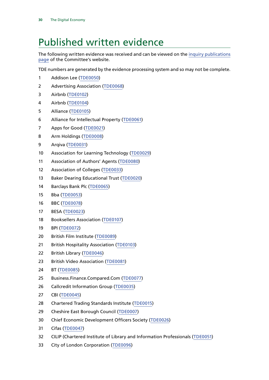### <span id="page-33-0"></span>Published written evidence

The following written evidence was received and can be viewed on the [inquiry publications](http://www.parliament.uk/business/committees/committees-a-z/commons-select/business-innovation-and-skills/inquiries/parliament-2015/digital-economy/publications/) [page](http://www.parliament.uk/business/committees/committees-a-z/commons-select/business-innovation-and-skills/inquiries/parliament-2015/digital-economy/publications/) of the Committee's website.

TDE numbers are generated by the evidence processing system and so may not be complete.

- Addison Lee [\(TDE0050\)](http://data.parliament.uk/WrittenEvidence/CommitteeEvidence.svc/EvidenceDocument/Business,%20Innovation%20and%20Skills/The%20Digital%20Economy/written/23731.html)
- Advertising Association ([TDE0068](http://data.parliament.uk/WrittenEvidence/CommitteeEvidence.svc/EvidenceDocument/Business,%20Innovation%20and%20Skills/The%20Digital%20Economy/written/23894.html))
- Airbnb ([TDE0102](http://data.parliament.uk/WrittenEvidence/CommitteeEvidence.svc/EvidenceDocument/Business,%20Innovation%20and%20Skills/The%20Digital%20Economy/written/26267.html))
- Airbnb ([TDE0104\)](http://data.parliament.uk/WrittenEvidence/CommitteeEvidence.svc/EvidenceDocument/Business,%20Innovation%20and%20Skills/The%20Digital%20Economy/written/28309.html)
- Alliance ([TDE0105](http://data.parliament.uk/WrittenEvidence/CommitteeEvidence.svc/EvidenceDocument/Business,%20Innovation%20and%20Skills/The%20Digital%20Economy/written/28755.html))
- Alliance for Intellectual Property ([TDE0061\)](http://data.parliament.uk/WrittenEvidence/CommitteeEvidence.svc/EvidenceDocument/Business,%20Innovation%20and%20Skills/The%20Digital%20Economy/written/23759.html)
- Apps for Good ([TDE0021\)](http://data.parliament.uk/WrittenEvidence/CommitteeEvidence.svc/EvidenceDocument/Business,%20Innovation%20and%20Skills/The%20Digital%20Economy/written/23603.html)
- Arm Holdings ([TDE0008\)](http://data.parliament.uk/WrittenEvidence/CommitteeEvidence.svc/EvidenceDocument/Business,%20Innovation%20and%20Skills/The%20Digital%20Economy/written/23372.html)
- Arqiva [\(TDE0031\)](http://data.parliament.uk/WrittenEvidence/CommitteeEvidence.svc/EvidenceDocument/Business,%20Innovation%20and%20Skills/The%20Digital%20Economy/written/23671.html)
- Association for Learning Technology [\(TDE0029](http://data.parliament.uk/WrittenEvidence/CommitteeEvidence.svc/EvidenceDocument/Business,%20Innovation%20and%20Skills/The%20Digital%20Economy/written/23666.html))
- Association of Authors' Agents ([TDE0080](http://data.parliament.uk/WrittenEvidence/CommitteeEvidence.svc/EvidenceDocument/Business,%20Innovation%20and%20Skills/The%20Digital%20Economy/written/24004.html))
- Association of Colleges ([TDE0033\)](http://data.parliament.uk/WrittenEvidence/CommitteeEvidence.svc/EvidenceDocument/Business,%20Innovation%20and%20Skills/The%20Digital%20Economy/written/23684.html)
- Baker Dearing Educational Trust ([TDE0020](http://data.parliament.uk/WrittenEvidence/CommitteeEvidence.svc/EvidenceDocument/Business,%20Innovation%20and%20Skills/The%20Digital%20Economy/written/23602.html))
- Barclays Bank Plc ([TDE0065\)](http://data.parliament.uk/WrittenEvidence/CommitteeEvidence.svc/EvidenceDocument/Business,%20Innovation%20and%20Skills/The%20Digital%20Economy/written/23863.html)
- Bba ([TDE0053](http://data.parliament.uk/WrittenEvidence/CommitteeEvidence.svc/EvidenceDocument/Business,%20Innovation%20and%20Skills/The%20Digital%20Economy/written/23735.html))
- BBC ([TDE0078\)](http://data.parliament.uk/WrittenEvidence/CommitteeEvidence.svc/EvidenceDocument/Business,%20Innovation%20and%20Skills/The%20Digital%20Economy/written/23997.html)
- BESA ([TDE0023\)](http://data.parliament.uk/WrittenEvidence/CommitteeEvidence.svc/EvidenceDocument/Business,%20Innovation%20and%20Skills/The%20Digital%20Economy/written/23614.html)
- 18 Booksellers Association ([TDE0107](http://data.parliament.uk/WrittenEvidence/CommitteeEvidence.svc/EvidenceDocument/Business,%20Innovation%20and%20Skills/The%20Digital%20Economy/written/30183.html))
- BPI [\(TDE0072\)](http://data.parliament.uk/WrittenEvidence/CommitteeEvidence.svc/EvidenceDocument/Business,%20Innovation%20and%20Skills/The%20Digital%20Economy/written/23972.html)
- British Film Institute [\(TDE0089\)](http://data.parliament.uk/WrittenEvidence/CommitteeEvidence.svc/EvidenceDocument/Business,%20Innovation%20and%20Skills/The%20Digital%20Economy/written/24515.html)
- British Hospitality Association ([TDE0103\)](http://data.parliament.uk/WrittenEvidence/CommitteeEvidence.svc/EvidenceDocument/Business,%20Innovation%20and%20Skills/The%20Digital%20Economy/written/26821.html)
- British Library ([TDE0046](http://data.parliament.uk/WrittenEvidence/CommitteeEvidence.svc/EvidenceDocument/Business,%20Innovation%20and%20Skills/The%20Digital%20Economy/written/23724.html))
- British Video Association ([TDE0081](http://data.parliament.uk/WrittenEvidence/CommitteeEvidence.svc/EvidenceDocument/Business,%20Innovation%20and%20Skills/The%20Digital%20Economy/written/24035.html))
- BT ([TDE0085\)](http://data.parliament.uk/WrittenEvidence/CommitteeEvidence.svc/EvidenceDocument/Business,%20Innovation%20and%20Skills/The%20Digital%20Economy/written/24044.html)
- Business.Finance.Compared.Com ([TDE0077](http://data.parliament.uk/WrittenEvidence/CommitteeEvidence.svc/EvidenceDocument/Business,%20Innovation%20and%20Skills/The%20Digital%20Economy/written/23994.html))
- Callcredit Information Group ([TDE0035](http://data.parliament.uk/WrittenEvidence/CommitteeEvidence.svc/EvidenceDocument/Business,%20Innovation%20and%20Skills/The%20Digital%20Economy/written/23689.html))
- CBI ([TDE0045](http://data.parliament.uk/WrittenEvidence/CommitteeEvidence.svc/EvidenceDocument/Business,%20Innovation%20and%20Skills/The%20Digital%20Economy/written/23721.html))
- Chartered Trading Standards Institute ([TDE0015\)](http://data.parliament.uk/WrittenEvidence/CommitteeEvidence.svc/EvidenceDocument/Business,%20Innovation%20and%20Skills/The%20Digital%20Economy/written/23570.html)
- Cheshire East Borough Council ([TDE0007\)](http://data.parliament.uk/WrittenEvidence/CommitteeEvidence.svc/EvidenceDocument/Business,%20Innovation%20and%20Skills/The%20Digital%20Economy/written/23368.html)
- Chief Economic Development Officers Society [\(TDE0026](http://data.parliament.uk/WrittenEvidence/CommitteeEvidence.svc/EvidenceDocument/Business,%20Innovation%20and%20Skills/The%20Digital%20Economy/written/23643.html))
- Cifas ([TDE0047](http://data.parliament.uk/WrittenEvidence/CommitteeEvidence.svc/EvidenceDocument/Business,%20Innovation%20and%20Skills/The%20Digital%20Economy/written/23726.html))
- CILIP (Chartered Institute of Library and Information Professionals ([TDE0051\)](http://data.parliament.uk/WrittenEvidence/CommitteeEvidence.svc/EvidenceDocument/Business,%20Innovation%20and%20Skills/The%20Digital%20Economy/written/23732.html)
- City of London Corporation ([TDE0096](http://data.parliament.uk/WrittenEvidence/CommitteeEvidence.svc/EvidenceDocument/Business,%20Innovation%20and%20Skills/The%20Digital%20Economy/written/24612.html))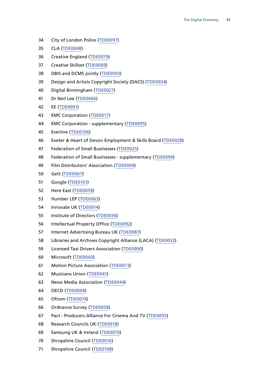- City of London Police ([TDE0097](http://data.parliament.uk/WrittenEvidence/CommitteeEvidence.svc/EvidenceDocument/Business,%20Innovation%20and%20Skills/The%20Digital%20Economy/written/24613.html))
- CLA ([TDE0048](http://data.parliament.uk/WrittenEvidence/CommitteeEvidence.svc/EvidenceDocument/Business,%20Innovation%20and%20Skills/The%20Digital%20Economy/written/23727.html))
- Creative England ([TDE0079\)](http://data.parliament.uk/WrittenEvidence/CommitteeEvidence.svc/EvidenceDocument/Business,%20Innovation%20and%20Skills/The%20Digital%20Economy/written/23998.html)
- Creative Skillset ([TDE0069](http://data.parliament.uk/WrittenEvidence/CommitteeEvidence.svc/EvidenceDocument/Business,%20Innovation%20and%20Skills/The%20Digital%20Economy/written/23899.html))
- DBIS and DCMS jointly ([TDE0093\)](http://data.parliament.uk/WrittenEvidence/CommitteeEvidence.svc/EvidenceDocument/Business,%20Innovation%20and%20Skills/The%20Digital%20Economy/written/24569.html)
- Design and Artists Copyright Society (DACS) [\(TDE0034](http://data.parliament.uk/WrittenEvidence/CommitteeEvidence.svc/EvidenceDocument/Business,%20Innovation%20and%20Skills/The%20Digital%20Economy/written/23687.html))
- Digital Birmingham ([TDE0027\)](http://data.parliament.uk/WrittenEvidence/CommitteeEvidence.svc/EvidenceDocument/Business,%20Innovation%20and%20Skills/The%20Digital%20Economy/written/23648.html)
- Dr Neil Lee ([TDE0066\)](http://data.parliament.uk/WrittenEvidence/CommitteeEvidence.svc/EvidenceDocument/Business,%20Innovation%20and%20Skills/The%20Digital%20Economy/written/23866.html)
- EE ([TDE0091](http://data.parliament.uk/WrittenEvidence/CommitteeEvidence.svc/EvidenceDocument/Business,%20Innovation%20and%20Skills/The%20Digital%20Economy/written/24529.html))
- EMC Corporation ([TDE0017\)](http://data.parliament.uk/WrittenEvidence/CommitteeEvidence.svc/EvidenceDocument/Business,%20Innovation%20and%20Skills/The%20Digital%20Economy/written/23583.html)
- EMC Corporation supplementary ([TDE0095](http://data.parliament.uk/WrittenEvidence/CommitteeEvidence.svc/EvidenceDocument/Business,%20Innovation%20and%20Skills/The%20Digital%20Economy/written/24604.html))
- Everline ([TDE0106](http://data.parliament.uk/WrittenEvidence/CommitteeEvidence.svc/EvidenceDocument/Business,%20Innovation%20and%20Skills/The%20Digital%20Economy/written/28756.html))
- Exeter & Heart of Devon Employment & Skills Board ([TDE0028](http://data.parliament.uk/WrittenEvidence/CommitteeEvidence.svc/EvidenceDocument/Business,%20Innovation%20and%20Skills/The%20Digital%20Economy/written/23650.html))
- Federation of Small Businesses [\(TDE0025](http://data.parliament.uk/WrittenEvidence/CommitteeEvidence.svc/EvidenceDocument/Business,%20Innovation%20and%20Skills/The%20Digital%20Economy/written/23627.html))
- Federation of Small Businesses supplementary ([TDE0094\)](http://data.parliament.uk/WrittenEvidence/CommitteeEvidence.svc/EvidenceDocument/Business,%20Innovation%20and%20Skills/The%20Digital%20Economy/written/24570.html)
- Film Distributors' Association ([TDE0009](http://data.parliament.uk/WrittenEvidence/CommitteeEvidence.svc/EvidenceDocument/Business,%20Innovation%20and%20Skills/The%20Digital%20Economy/written/23418.html))
- Gett ([TDE0067](http://data.parliament.uk/WrittenEvidence/CommitteeEvidence.svc/EvidenceDocument/Business,%20Innovation%20and%20Skills/The%20Digital%20Economy/written/23885.html))
- Google ([TDE0101](http://data.parliament.uk/WrittenEvidence/CommitteeEvidence.svc/EvidenceDocument/Business,%20Innovation%20and%20Skills/The%20Digital%20Economy/written/26260.html))
- Here East ([TDE0059\)](http://data.parliament.uk/WrittenEvidence/CommitteeEvidence.svc/EvidenceDocument/Business,%20Innovation%20and%20Skills/The%20Digital%20Economy/written/23756.html)
- Humber LEP ([TDE0063\)](http://data.parliament.uk/WrittenEvidence/CommitteeEvidence.svc/EvidenceDocument/Business,%20Innovation%20and%20Skills/The%20Digital%20Economy/written/23843.html)
- Innovate UK ([TDE0014\)](http://data.parliament.uk/WrittenEvidence/CommitteeEvidence.svc/EvidenceDocument/Business,%20Innovation%20and%20Skills/The%20Digital%20Economy/written/23569.html)
- Institute of Directors ([TDE0036\)](http://data.parliament.uk/WrittenEvidence/CommitteeEvidence.svc/EvidenceDocument/Business,%20Innovation%20and%20Skills/The%20Digital%20Economy/written/23691.html)
- Intellectual Property Office ([TDE0092\)](http://data.parliament.uk/WrittenEvidence/CommitteeEvidence.svc/EvidenceDocument/Business,%20Innovation%20and%20Skills/The%20Digital%20Economy/written/24568.html)
- Internet Advertising Bureau UK ([TDE0087\)](http://data.parliament.uk/WrittenEvidence/CommitteeEvidence.svc/EvidenceDocument/Business,%20Innovation%20and%20Skills/The%20Digital%20Economy/written/24239.html)
- Libraries and Archives Copyright Alliance (LACA) ([TDE0032](http://data.parliament.uk/WrittenEvidence/CommitteeEvidence.svc/EvidenceDocument/Business,%20Innovation%20and%20Skills/The%20Digital%20Economy/written/23680.html))
- Licensed Taxi Drivers Association ([TDE0090\)](http://data.parliament.uk/WrittenEvidence/CommitteeEvidence.svc/EvidenceDocument/Business,%20Innovation%20and%20Skills/The%20Digital%20Economy/written/24516.html)
- Microsoft ([TDE0060](http://data.parliament.uk/WrittenEvidence/CommitteeEvidence.svc/EvidenceDocument/Business,%20Innovation%20and%20Skills/The%20Digital%20Economy/written/23758.html))
- Motion Picture Association ([TDE0073](http://data.parliament.uk/WrittenEvidence/CommitteeEvidence.svc/EvidenceDocument/Business,%20Innovation%20and%20Skills/The%20Digital%20Economy/written/23981.html))
- Musicians Union ([TDE0041](http://data.parliament.uk/WrittenEvidence/CommitteeEvidence.svc/EvidenceDocument/Business,%20Innovation%20and%20Skills/The%20Digital%20Economy/written/23712.html))
- News Media Association ([TDE0044](http://data.parliament.uk/WrittenEvidence/CommitteeEvidence.svc/EvidenceDocument/Business,%20Innovation%20and%20Skills/The%20Digital%20Economy/written/23719.html))
- OECD ([TDE0004](http://data.parliament.uk/WrittenEvidence/CommitteeEvidence.svc/EvidenceDocument/Business,%20Innovation%20and%20Skills/The%20Digital%20Economy/written/22479.html))
- Ofcom ([TDE0074](http://data.parliament.uk/WrittenEvidence/CommitteeEvidence.svc/EvidenceDocument/Business,%20Innovation%20and%20Skills/The%20Digital%20Economy/written/23989.html))
- Ordnance Survey ([TDE0058](http://data.parliament.uk/WrittenEvidence/CommitteeEvidence.svc/EvidenceDocument/Business,%20Innovation%20and%20Skills/The%20Digital%20Economy/written/23754.html))
- Pact Producers Alliance For Cinema And TV ([TDE0055](http://data.parliament.uk/WrittenEvidence/CommitteeEvidence.svc/EvidenceDocument/Business,%20Innovation%20and%20Skills/The%20Digital%20Economy/written/23743.html))
- Research Councils UK ([TDE0018](http://data.parliament.uk/WrittenEvidence/CommitteeEvidence.svc/EvidenceDocument/Business,%20Innovation%20and%20Skills/The%20Digital%20Economy/written/23590.html))
- Samsung UK & Ireland ([TDE0070\)](http://data.parliament.uk/WrittenEvidence/CommitteeEvidence.svc/EvidenceDocument/Business,%20Innovation%20and%20Skills/The%20Digital%20Economy/written/23926.html)
- Shropshire Council ([TDE0016](http://data.parliament.uk/WrittenEvidence/CommitteeEvidence.svc/EvidenceDocument/Business,%20Innovation%20and%20Skills/The%20Digital%20Economy/written/23579.html))
- Shropshire Council ([TDE0108](http://data.parliament.uk/WrittenEvidence/CommitteeEvidence.svc/EvidenceDocument/Business,%20Innovation%20and%20Skills/The%20Digital%20Economy/written/31737.html))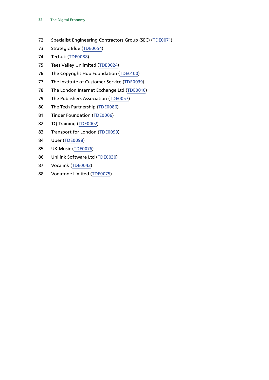- Specialist Engineering Contractors Group (SEC) ([TDE0071](http://data.parliament.uk/WrittenEvidence/CommitteeEvidence.svc/EvidenceDocument/Business,%20Innovation%20and%20Skills/The%20Digital%20Economy/written/23947.html))
- Strategic Blue ([TDE0054](http://data.parliament.uk/WrittenEvidence/CommitteeEvidence.svc/EvidenceDocument/Business,%20Innovation%20and%20Skills/The%20Digital%20Economy/written/23742.html))
- Techuk ([TDE0088](http://data.parliament.uk/WrittenEvidence/CommitteeEvidence.svc/EvidenceDocument/Business,%20Innovation%20and%20Skills/The%20Digital%20Economy/written/24385.html))
- Tees Valley Unlimited ([TDE0024](http://data.parliament.uk/WrittenEvidence/CommitteeEvidence.svc/EvidenceDocument/Business,%20Innovation%20and%20Skills/The%20Digital%20Economy/written/23617.html))
- The Copyright Hub Foundation [\(TDE0100\)](http://data.parliament.uk/WrittenEvidence/CommitteeEvidence.svc/EvidenceDocument/Business,%20Innovation%20and%20Skills/The%20Digital%20Economy/written/25693.html)
- The Institute of Customer Service ([TDE0039](http://data.parliament.uk/WrittenEvidence/CommitteeEvidence.svc/EvidenceDocument/Business,%20Innovation%20and%20Skills/The%20Digital%20Economy/written/23702.html))
- The London Internet Exchange Ltd ([TDE0010](http://data.parliament.uk/WrittenEvidence/CommitteeEvidence.svc/EvidenceDocument/Business,%20Innovation%20and%20Skills/The%20Digital%20Economy/written/23545.html))
- 79 The Publishers Association [\(TDE0057](http://data.parliament.uk/WrittenEvidence/CommitteeEvidence.svc/EvidenceDocument/Business,%20Innovation%20and%20Skills/The%20Digital%20Economy/written/23747.html))
- The Tech Partnership ([TDE0086](http://data.parliament.uk/WrittenEvidence/CommitteeEvidence.svc/EvidenceDocument/Business,%20Innovation%20and%20Skills/The%20Digital%20Economy/written/24118.html))
- Tinder Foundation ([TDE0006\)](http://data.parliament.uk/WrittenEvidence/CommitteeEvidence.svc/EvidenceDocument/Business,%20Innovation%20and%20Skills/The%20Digital%20Economy/written/23361.html)
- TQ Training ([TDE0002](http://data.parliament.uk/WrittenEvidence/CommitteeEvidence.svc/EvidenceDocument/Business,%20Innovation%20and%20Skills/The%20Digital%20Economy/written/21818.html))
- Transport for London ([TDE0099](http://data.parliament.uk/WrittenEvidence/CommitteeEvidence.svc/EvidenceDocument/Business,%20Innovation%20and%20Skills/The%20Digital%20Economy/written/25031.html))
- Uber ([TDE0098](http://data.parliament.uk/WrittenEvidence/CommitteeEvidence.svc/EvidenceDocument/Business,%20Innovation%20and%20Skills/The%20Digital%20Economy/written/24628.html))
- UK Music [\(TDE0076](http://data.parliament.uk/WrittenEvidence/CommitteeEvidence.svc/EvidenceDocument/Business,%20Innovation%20and%20Skills/The%20Digital%20Economy/written/23991.html))
- Unilink Software Ltd ([TDE0030](http://data.parliament.uk/WrittenEvidence/CommitteeEvidence.svc/EvidenceDocument/Business,%20Innovation%20and%20Skills/The%20Digital%20Economy/written/23669.html))
- Vocalink ([TDE0042\)](http://data.parliament.uk/WrittenEvidence/CommitteeEvidence.svc/EvidenceDocument/Business,%20Innovation%20and%20Skills/The%20Digital%20Economy/written/23716.html)
- Vodafone Limited ([TDE0075](http://data.parliament.uk/WrittenEvidence/CommitteeEvidence.svc/EvidenceDocument/Business,%20Innovation%20and%20Skills/The%20Digital%20Economy/written/23990.html))